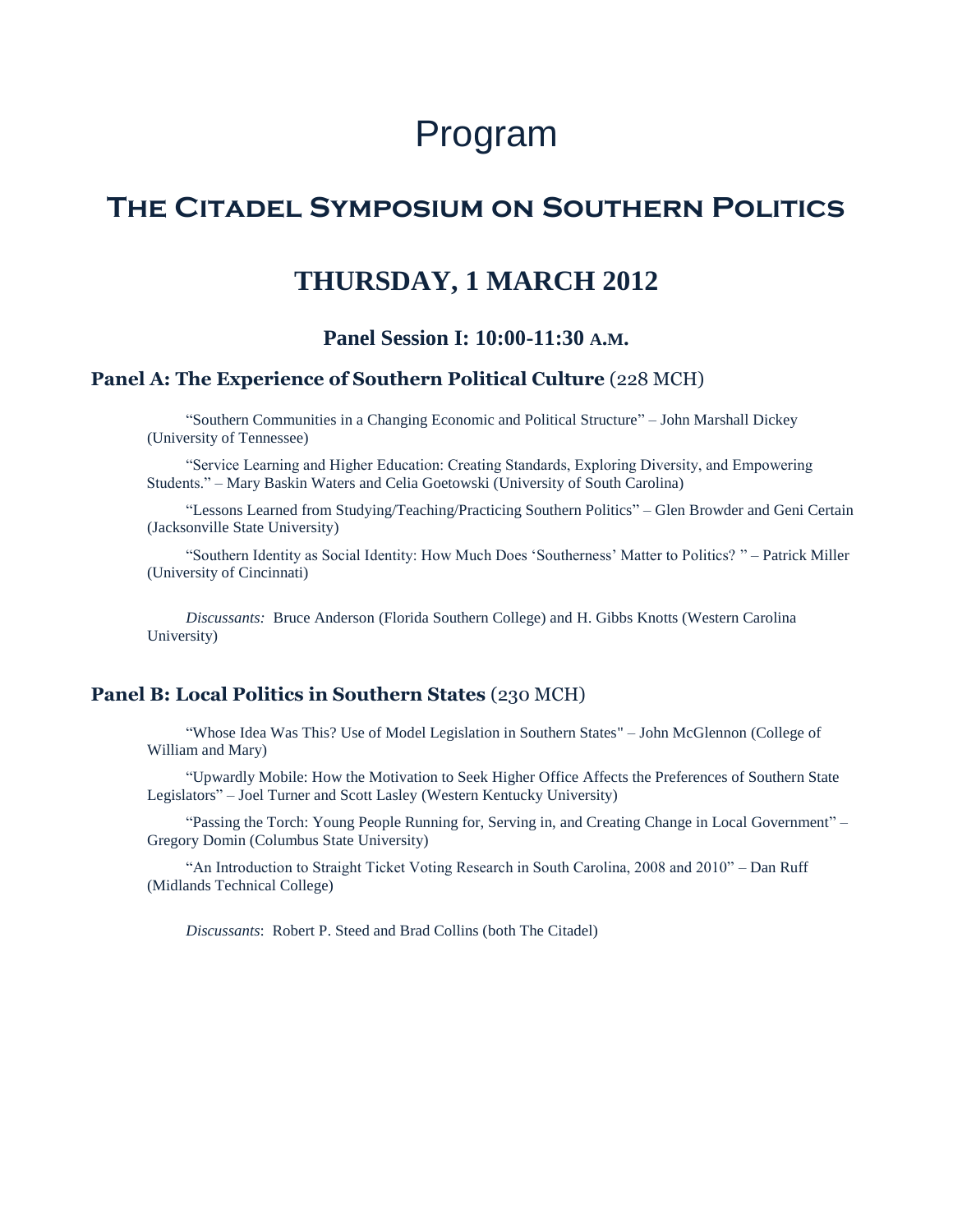# Program

# **The Citadel Symposium on Southern Politics**

# **THURSDAY, 1 MARCH 2012**

# **Panel Session I: 10:00-11:30 A.M.**

## **Panel A: The Experience of Southern Political Culture** (228 MCH)

"Southern Communities in a Changing Economic and Political Structure" – John Marshall Dickey (University of Tennessee)

―Service Learning and Higher Education: Creating Standards, Exploring Diversity, and Empowering Students." – Mary Baskin Waters and Celia Goetowski (University of South Carolina)

―Lessons Learned from Studying/Teaching/Practicing Southern Politics‖ – Glen Browder and Geni Certain (Jacksonville State University)

"Southern Identity as Social Identity: How Much Does 'Southerness' Matter to Politics? " – Patrick Miller (University of Cincinnati)

*Discussants:* Bruce Anderson (Florida Southern College) and H. Gibbs Knotts (Western Carolina University)

#### **Panel B: Local Politics in Southern States** (230 MCH)

―Whose Idea Was This? Use of Model Legislation in Southern States" – John McGlennon (College of William and Mary)

―Upwardly Mobile: How the Motivation to Seek Higher Office Affects the Preferences of Southern State Legislators" – Joel Turner and Scott Lasley (Western Kentucky University)

"Passing the Torch: Young People Running for, Serving in, and Creating Change in Local Government" – Gregory Domin (Columbus State University)

"An Introduction to Straight Ticket Voting Research in South Carolina, 2008 and 2010" – Dan Ruff (Midlands Technical College)

*Discussants*: Robert P. Steed and Brad Collins (both The Citadel)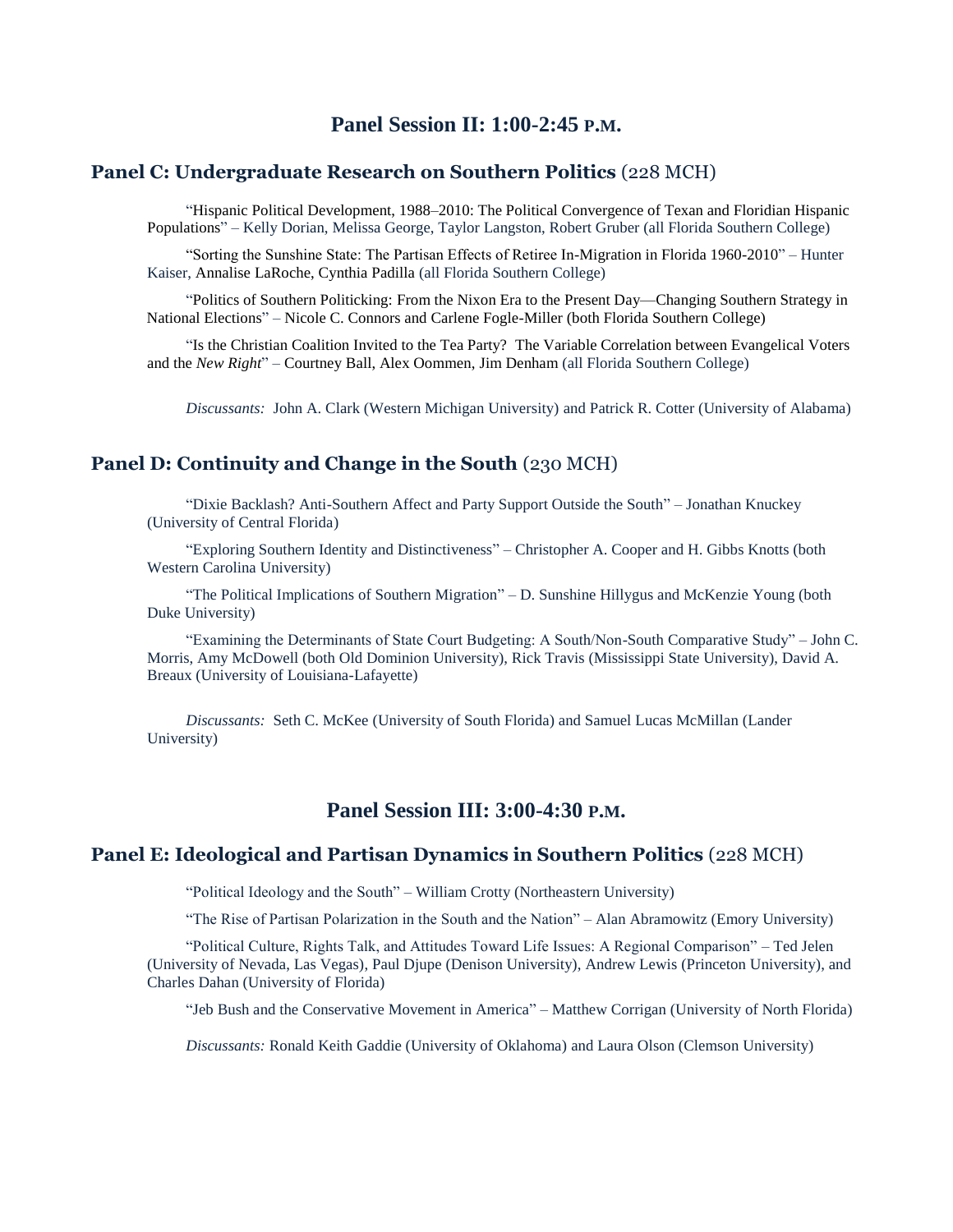# **Panel Session II: 1:00-2:45 P.M.**

### **Panel C: Undergraduate Research on Southern Politics** (228 MCH)

―Hispanic Political Development, 1988–2010: The Political Convergence of Texan and Floridian Hispanic Populations‖ – Kelly Dorian, Melissa George, Taylor Langston, Robert Gruber (all Florida Southern College)

"Sorting the Sunshine State: The Partisan Effects of Retiree In-Migration in Florida 1960-2010" – Hunter Kaiser, Annalise LaRoche, Cynthia Padilla (all Florida Southern College)

―Politics of Southern Politicking: From the Nixon Era to the Present Day—Changing Southern Strategy in National Elections" – Nicole C. Connors and Carlene Fogle-Miller (both Florida Southern College)

"Is the Christian Coalition Invited to the Tea Party? The Variable Correlation between Evangelical Voters and the *New Right*" – Courtney Ball, Alex Oommen, Jim Denham (all Florida Southern College)

*Discussants:* John A. Clark (Western Michigan University) and Patrick R. Cotter (University of Alabama)

#### **Panel D: Continuity and Change in the South (230 MCH)**

―Dixie Backlash? Anti-Southern Affect and Party Support Outside the South‖ – Jonathan Knuckey (University of Central Florida)

―Exploring Southern Identity and Distinctiveness‖ – Christopher A. Cooper and H. Gibbs Knotts (both Western Carolina University)

―The Political Implications of Southern Migration‖ – D. Sunshine Hillygus and McKenzie Young (both Duke University)

―Examining the Determinants of State Court Budgeting: A South/Non-South Comparative Study‖ – John C. Morris, Amy McDowell (both Old Dominion University), Rick Travis (Mississippi State University), David A. Breaux (University of Louisiana-Lafayette)

*Discussants:* Seth C. McKee (University of South Florida) and Samuel Lucas McMillan (Lander University)

## **Panel Session III: 3:00-4:30 P.M.**

#### **Panel E: Ideological and Partisan Dynamics in Southern Politics** (228 MCH)

"Political Ideology and the South" – William Crotty (Northeastern University)

―The Rise of Partisan Polarization in the South and the Nation‖ – Alan Abramowitz (Emory University)

―Political Culture, Rights Talk, and Attitudes Toward Life Issues: A Regional Comparison‖ – Ted Jelen (University of Nevada, Las Vegas), Paul Djupe (Denison University), Andrew Lewis (Princeton University), and Charles Dahan (University of Florida)

"Jeb Bush and the Conservative Movement in America" – Matthew Corrigan (University of North Florida)

*Discussants:* Ronald Keith Gaddie (University of Oklahoma) and Laura Olson (Clemson University)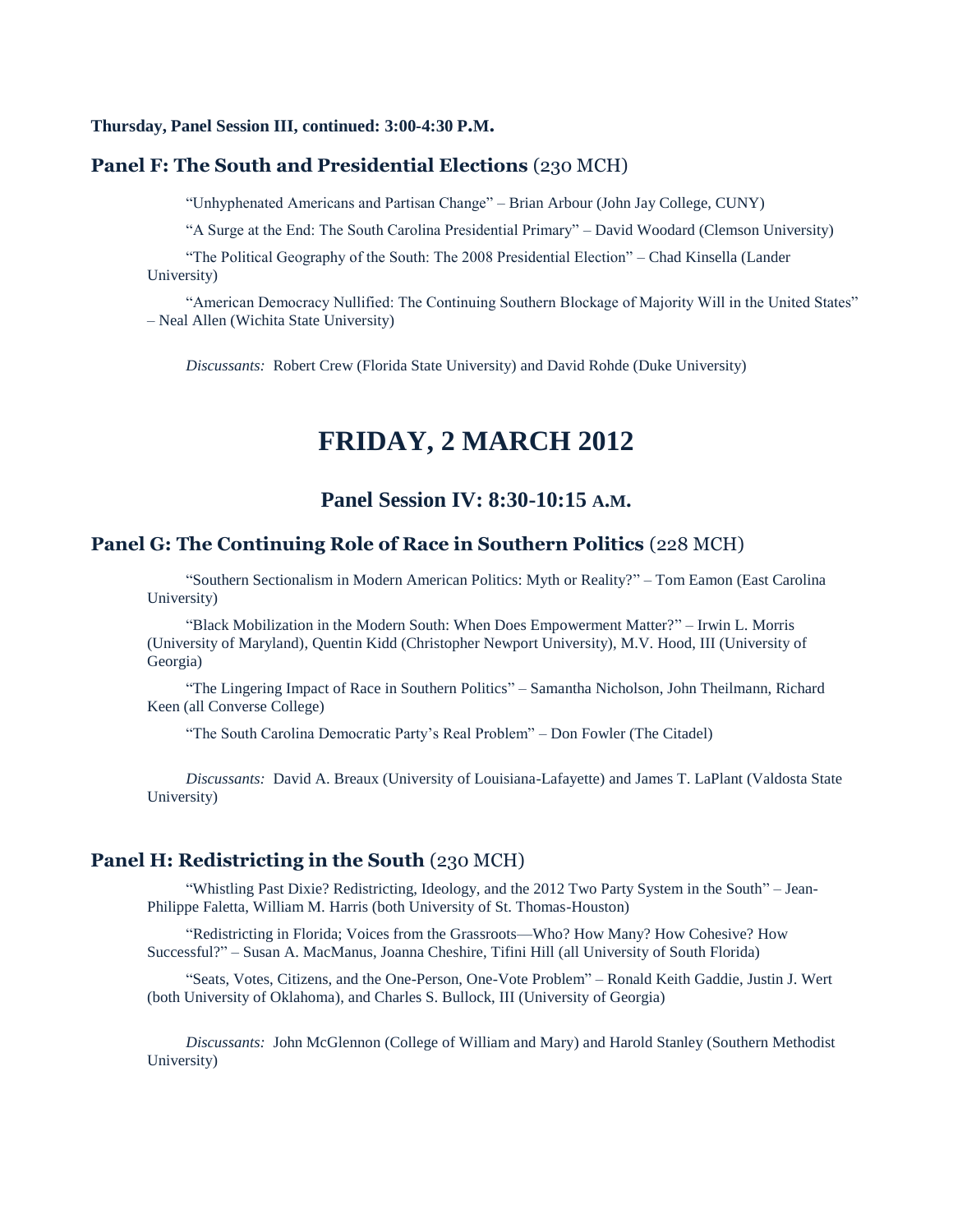#### **Thursday, Panel Session III, continued: 3:00-4:30 P.M.**

#### **Panel F: The South and Presidential Elections** (230 MCH)

―Unhyphenated Americans and Partisan Change‖ – Brian Arbour (John Jay College, CUNY)

"A Surge at the End: The South Carolina Presidential Primary" – David Woodard (Clemson University)

"The Political Geography of the South: The 2008 Presidential Election" – Chad Kinsella (Lander University)

"American Democracy Nullified: The Continuing Southern Blockage of Majority Will in the United States" – Neal Allen (Wichita State University)

*Discussants:* Robert Crew (Florida State University) and David Rohde (Duke University)

# **FRIDAY, 2 MARCH 2012**

# **Panel Session IV: 8:30-10:15 A.M.**

#### **Panel G: The Continuing Role of Race in Southern Politics** (228 MCH)

―Southern Sectionalism in Modern American Politics: Myth or Reality?‖ – Tom Eamon (East Carolina University)

―Black Mobilization in the Modern South: When Does Empowerment Matter?‖ – Irwin L. Morris (University of Maryland), Quentin Kidd (Christopher Newport University), M.V. Hood, III (University of Georgia)

―The Lingering Impact of Race in Southern Politics‖ – Samantha Nicholson, John Theilmann, Richard Keen (all Converse College)

"The South Carolina Democratic Party's Real Problem" – Don Fowler (The Citadel)

*Discussants:* David A. Breaux (University of Louisiana-Lafayette) and James T. LaPlant (Valdosta State University)

#### **Panel H: Redistricting in the South (230 MCH)**

"Whistling Past Dixie? Redistricting, Ideology, and the 2012 Two Party System in the South" - Jean-Philippe Faletta, William M. Harris (both University of St. Thomas-Houston)

―Redistricting in Florida; Voices from the Grassroots—Who? How Many? How Cohesive? How Successful?‖ – Susan A. MacManus, Joanna Cheshire, Tifini Hill (all University of South Florida)

―Seats, Votes, Citizens, and the One-Person, One-Vote Problem‖ – Ronald Keith Gaddie, Justin J. Wert (both University of Oklahoma), and Charles S. Bullock, III (University of Georgia)

*Discussants:* John McGlennon (College of William and Mary) and Harold Stanley (Southern Methodist University)